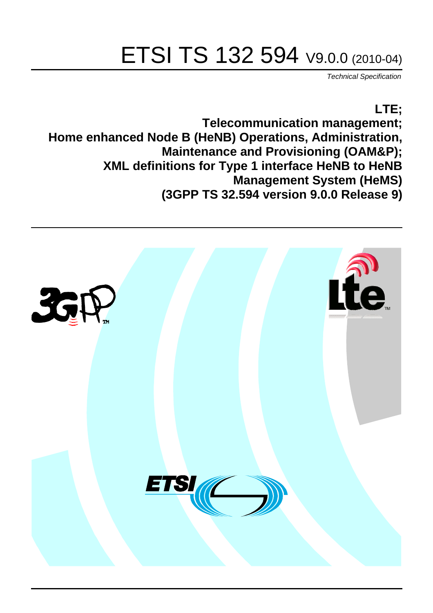# ETSI TS 132 594 V9.0.0 (2010-04)

*Technical Specification*

## **LTE; Telecommunication management; Home enhanced Node B (HeNB) Operations, Administration, Maintenance and Provisioning (OAM&P); XML definitions for Type 1 interface HeNB to HeNB Management System (HeMS) (3GPP TS 32.594 version 9.0.0 Release 9)**

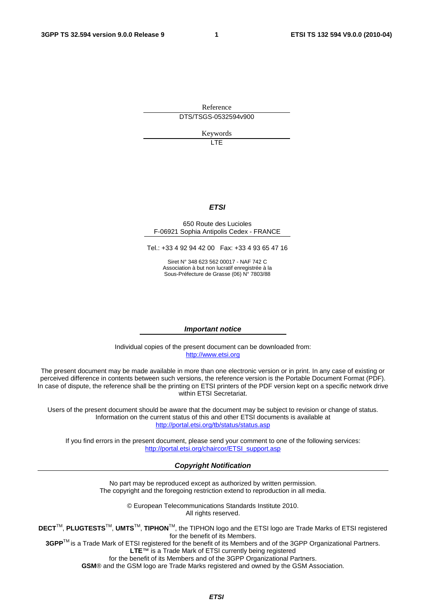Reference DTS/TSGS-0532594v900

Keywords

 $\overline{1}$ 

#### *ETSI*

#### 650 Route des Lucioles F-06921 Sophia Antipolis Cedex - FRANCE

Tel.: +33 4 92 94 42 00 Fax: +33 4 93 65 47 16

Siret N° 348 623 562 00017 - NAF 742 C Association à but non lucratif enregistrée à la Sous-Préfecture de Grasse (06) N° 7803/88

#### *Important notice*

Individual copies of the present document can be downloaded from: [http://www.etsi.org](http://www.etsi.org/)

The present document may be made available in more than one electronic version or in print. In any case of existing or perceived difference in contents between such versions, the reference version is the Portable Document Format (PDF). In case of dispute, the reference shall be the printing on ETSI printers of the PDF version kept on a specific network drive within ETSI Secretariat.

Users of the present document should be aware that the document may be subject to revision or change of status. Information on the current status of this and other ETSI documents is available at <http://portal.etsi.org/tb/status/status.asp>

If you find errors in the present document, please send your comment to one of the following services: [http://portal.etsi.org/chaircor/ETSI\\_support.asp](http://portal.etsi.org/chaircor/ETSI_support.asp)

#### *Copyright Notification*

No part may be reproduced except as authorized by written permission. The copyright and the foregoing restriction extend to reproduction in all media.

> © European Telecommunications Standards Institute 2010. All rights reserved.

**DECT**TM, **PLUGTESTS**TM, **UMTS**TM, **TIPHON**TM, the TIPHON logo and the ETSI logo are Trade Marks of ETSI registered for the benefit of its Members.

**3GPP**TM is a Trade Mark of ETSI registered for the benefit of its Members and of the 3GPP Organizational Partners. **LTE**™ is a Trade Mark of ETSI currently being registered

for the benefit of its Members and of the 3GPP Organizational Partners.

**GSM**® and the GSM logo are Trade Marks registered and owned by the GSM Association.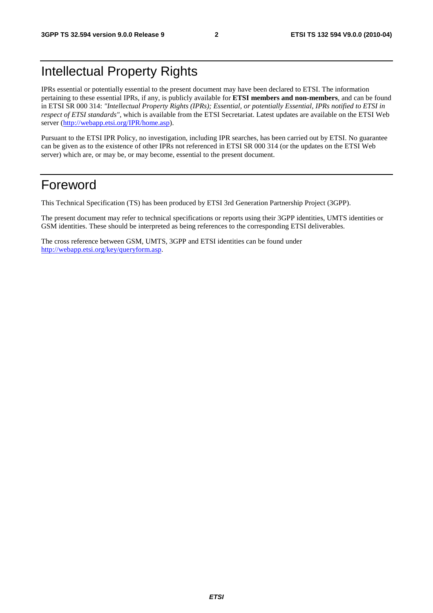# Intellectual Property Rights

IPRs essential or potentially essential to the present document may have been declared to ETSI. The information pertaining to these essential IPRs, if any, is publicly available for **ETSI members and non-members**, and can be found in ETSI SR 000 314: *"Intellectual Property Rights (IPRs); Essential, or potentially Essential, IPRs notified to ETSI in respect of ETSI standards"*, which is available from the ETSI Secretariat. Latest updates are available on the ETSI Web server [\(http://webapp.etsi.org/IPR/home.asp\)](http://webapp.etsi.org/IPR/home.asp).

Pursuant to the ETSI IPR Policy, no investigation, including IPR searches, has been carried out by ETSI. No guarantee can be given as to the existence of other IPRs not referenced in ETSI SR 000 314 (or the updates on the ETSI Web server) which are, or may be, or may become, essential to the present document.

### Foreword

This Technical Specification (TS) has been produced by ETSI 3rd Generation Partnership Project (3GPP).

The present document may refer to technical specifications or reports using their 3GPP identities, UMTS identities or GSM identities. These should be interpreted as being references to the corresponding ETSI deliverables.

The cross reference between GSM, UMTS, 3GPP and ETSI identities can be found under [http://webapp.etsi.org/key/queryform.asp.](http://webapp.etsi.org/key/queryform.asp)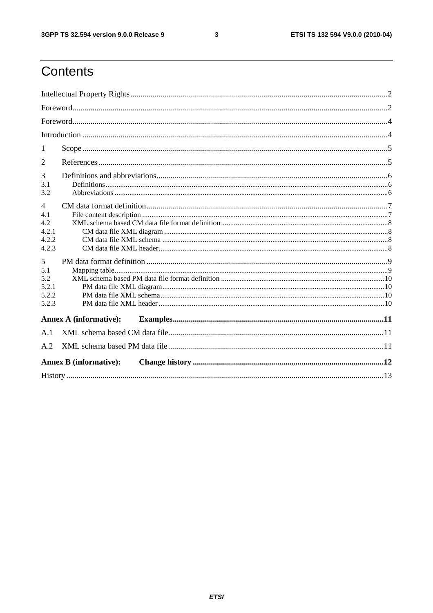$\mathbf{3}$ 

# Contents

| 1                                                                                                     |                               |  |  |  |  |
|-------------------------------------------------------------------------------------------------------|-------------------------------|--|--|--|--|
| 2                                                                                                     |                               |  |  |  |  |
| 3<br>3.1<br>3.2                                                                                       |                               |  |  |  |  |
| $\overline{4}$<br>4.1<br>4.2<br>4.2.1<br>4.2.2<br>4.2.3<br>5<br>5.1<br>5.2<br>5.2.1<br>5.2.2<br>5.2.3 |                               |  |  |  |  |
| <b>Annex A (informative):</b>                                                                         |                               |  |  |  |  |
| A.1                                                                                                   |                               |  |  |  |  |
| A.2                                                                                                   |                               |  |  |  |  |
|                                                                                                       | <b>Annex B (informative):</b> |  |  |  |  |
|                                                                                                       |                               |  |  |  |  |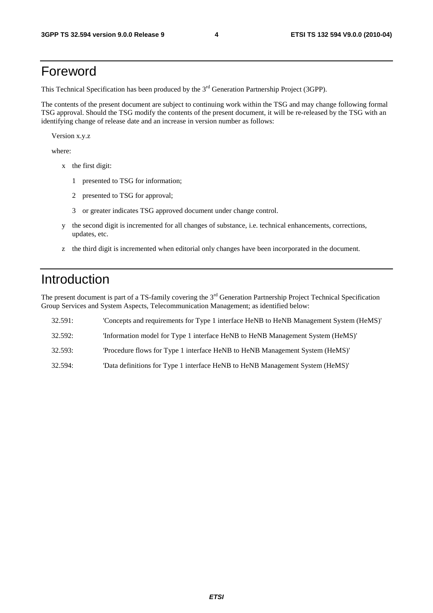### Foreword

This Technical Specification has been produced by the 3<sup>rd</sup> Generation Partnership Project (3GPP).

The contents of the present document are subject to continuing work within the TSG and may change following formal TSG approval. Should the TSG modify the contents of the present document, it will be re-released by the TSG with an identifying change of release date and an increase in version number as follows:

Version x.y.z

where:

- x the first digit:
	- 1 presented to TSG for information;
	- 2 presented to TSG for approval;
	- 3 or greater indicates TSG approved document under change control.
- y the second digit is incremented for all changes of substance, i.e. technical enhancements, corrections, updates, etc.
- z the third digit is incremented when editorial only changes have been incorporated in the document.

### Introduction

The present document is part of a TS-family covering the 3<sup>rd</sup> Generation Partnership Project Technical Specification Group Services and System Aspects, Telecommunication Management; as identified below:

| 32.591: | 'Concepts and requirements for Type 1 interface HeNB to HeNB Management System (HeMS)' |
|---------|----------------------------------------------------------------------------------------|
| 32.592: | 'Information model for Type 1 interface HeNB to HeNB Management System (HeMS)'         |
| 32.593: | "Procedure flows for Type 1 interface HeNB to HeNB Management System (HeMS)"           |

32.594: 'Data definitions for Type 1 interface HeNB to HeNB Management System (HeMS)'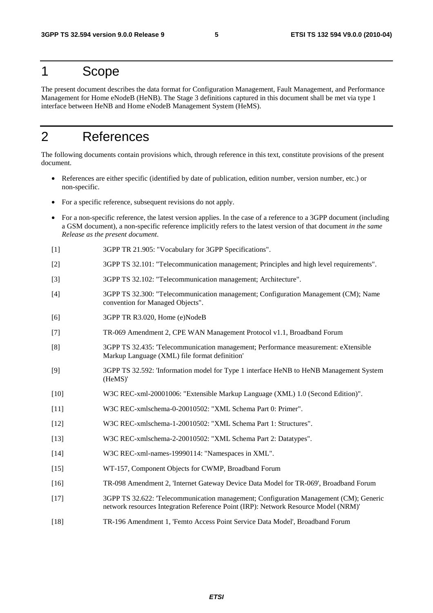#### 1 Scope

The present document describes the data format for Configuration Management, Fault Management, and Performance Management for Home eNodeB (HeNB). The Stage 3 definitions captured in this document shall be met via type 1 interface between HeNB and Home eNodeB Management System (HeMS).

# 2 References

The following documents contain provisions which, through reference in this text, constitute provisions of the present document.

- References are either specific (identified by date of publication, edition number, version number, etc.) or non-specific.
- For a specific reference, subsequent revisions do not apply.
- For a non-specific reference, the latest version applies. In the case of a reference to a 3GPP document (including a GSM document), a non-specific reference implicitly refers to the latest version of that document *in the same Release as the present document*.
- [1] 3GPP TR 21.905: "Vocabulary for 3GPP Specifications".
- [2] 3GPP TS 32.101: "Telecommunication management; Principles and high level requirements".
- [3] 3GPP TS 32.102: "Telecommunication management; Architecture".
- [4] 3GPP TS 32.300: "Telecommunication management; Configuration Management (CM); Name convention for Managed Objects".
- [6] 3GPP TR R3.020, Home (e)NodeB
- [7] TR-069 Amendment 2, CPE WAN Management Protocol v1.1, Broadband Forum
- [8] 3GPP TS 32.435: 'Telecommunication management; Performance measurement: eXtensible Markup Language (XML) file format definition'
- [9] 3GPP TS 32.592: 'Information model for Type 1 interface HeNB to HeNB Management System (HeMS)'
- [10] W3C REC-xml-20001006: "Extensible Markup Language (XML) 1.0 (Second Edition)".
- [11] W3C REC-xmlschema-0-20010502: "XML Schema Part 0: Primer".
- [12] W3C REC-xmlschema-1-20010502: "XML Schema Part 1: Structures".
- [13] W3C REC-xmlschema-2-20010502: "XML Schema Part 2: Datatypes".
- [14] W3C REC-xml-names-19990114: "Namespaces in XML".
- [15] WT-157, Component Objects for CWMP, Broadband Forum
- [16] TR-098 Amendment 2, 'Internet Gateway Device Data Model for TR-069', Broadband Forum
- [17] 3GPP TS 32.622: 'Telecommunication management; Configuration Management (CM); Generic network resources Integration Reference Point (IRP): Network Resource Model (NRM)'
- [18] TR-196 Amendment 1, 'Femto Access Point Service Data Model', Broadband Forum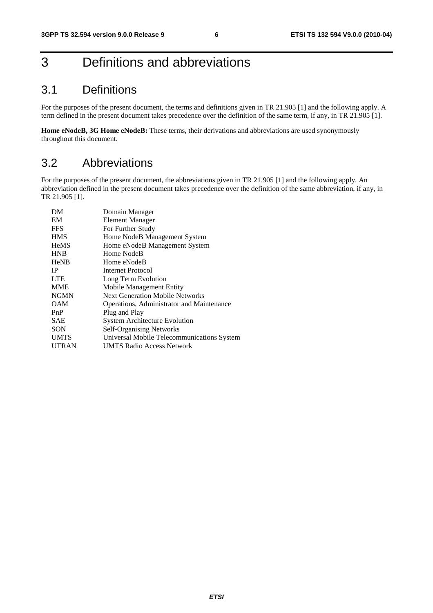# 3 Definitions and abbreviations

#### 3.1 Definitions

For the purposes of the present document, the terms and definitions given in TR 21.905 [1] and the following apply. A term defined in the present document takes precedence over the definition of the same term, if any, in TR 21.905 [1].

**Home eNodeB, 3G Home eNodeB:** These terms, their derivations and abbreviations are used synonymously throughout this document.

#### 3.2 Abbreviations

For the purposes of the present document, the abbreviations given in TR 21.905 [1] and the following apply. An abbreviation defined in the present document takes precedence over the definition of the same abbreviation, if any, in TR 21.905 [1].

| DM           | Domain Manager                             |
|--------------|--------------------------------------------|
| EM           | <b>Element Manager</b>                     |
| <b>FFS</b>   | For Further Study                          |
| <b>HMS</b>   | Home NodeB Management System               |
| <b>HeMS</b>  | Home eNodeB Management System              |
| <b>HNB</b>   | Home NodeB                                 |
| <b>HeNB</b>  | Home eNodeB                                |
| <b>IP</b>    | Internet Protocol                          |
| <b>LTE</b>   | Long Term Evolution                        |
| <b>MME</b>   | Mobile Management Entity                   |
| <b>NGMN</b>  | <b>Next Generation Mobile Networks</b>     |
| OAM          | Operations, Administrator and Maintenance  |
| PnP          | Plug and Play                              |
| <b>SAE</b>   | <b>System Architecture Evolution</b>       |
| <b>SON</b>   | <b>Self-Organising Networks</b>            |
| <b>UMTS</b>  | Universal Mobile Telecommunications System |
| <b>UTRAN</b> | UMTS Radio Access Network                  |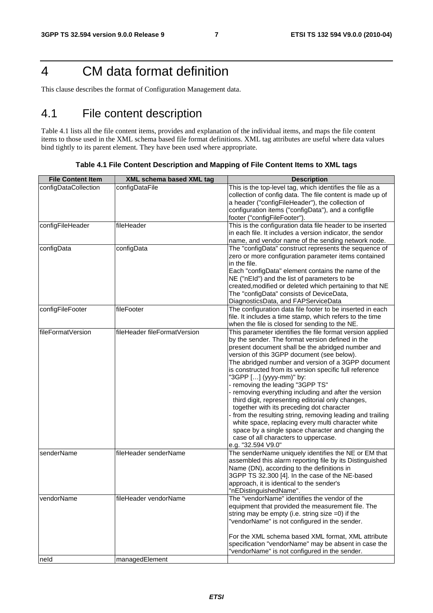# 4 CM data format definition

This clause describes the format of Configuration Management data.

### 4.1 File content description

Table 4.1 lists all the file content items, provides and explanation of the individual items, and maps the file content items to those used in the XML schema based file format definitions. XML tag attributes are useful where data values bind tightly to its parent element. They have been used where appropriate.

| <b>File Content Item</b> | XML schema based XML tag     | <b>Description</b>                                                                                                                                                                                                                                                                                                                                                                                                                                                                                                                                                                                                                                                                                                                                                                                |
|--------------------------|------------------------------|---------------------------------------------------------------------------------------------------------------------------------------------------------------------------------------------------------------------------------------------------------------------------------------------------------------------------------------------------------------------------------------------------------------------------------------------------------------------------------------------------------------------------------------------------------------------------------------------------------------------------------------------------------------------------------------------------------------------------------------------------------------------------------------------------|
| configDataCollection     | configDataFile               | This is the top-level tag, which identifies the file as a<br>collection of config data. The file content is made up of<br>a header ("configFileHeader"), the collection of<br>configuration items ("configData"), and a configfile<br>footer ("configFileFooter").                                                                                                                                                                                                                                                                                                                                                                                                                                                                                                                                |
| configFileHeader         | fileHeader                   | This is the configuration data file header to be inserted<br>in each file. It includes a version indicator, the sendor<br>name, and vendor name of the sending network node.                                                                                                                                                                                                                                                                                                                                                                                                                                                                                                                                                                                                                      |
| configData               | configData                   | The "configData" construct represents the sequence of<br>zero or more configuration parameter items contained<br>in the file.<br>Each "configData" element contains the name of the<br>NE ("nEld") and the list of parameters to be<br>created, modified or deleted which pertaining to that NE<br>The "configData" consists of DeviceData,<br>DiagnosticsData, and FAPServiceData                                                                                                                                                                                                                                                                                                                                                                                                                |
| configFileFooter         | fileFooter                   | The configuration data file footer to be inserted in each<br>file. It includes a time stamp, which refers to the time<br>when the file is closed for sending to the NE.                                                                                                                                                                                                                                                                                                                                                                                                                                                                                                                                                                                                                           |
| fileFormatVersion        | fileHeader fileFormatVersion | This parameter identifies the file format version applied<br>by the sender. The format version defined in the<br>present document shall be the abridged number and<br>version of this 3GPP document (see below).<br>The abridged number and version of a 3GPP document<br>is constructed from its version specific full reference<br>"3GPP [] (yyyy-mm)" by:<br>- removing the leading "3GPP TS"<br>- removing everything including and after the version<br>third digit, representing editorial only changes,<br>together with its preceding dot character<br>from the resulting string, removing leading and trailing<br>white space, replacing every multi character white<br>space by a single space character and changing the<br>case of all characters to uppercase.<br>e.g. "32.594 V9.0" |
| senderName               | fileHeader senderName        | The senderName uniquely identifies the NE or EM that<br>assembled this alarm reporting file by its Distinguished<br>Name (DN), according to the definitions in<br>3GPP TS 32.300 [4]. In the case of the NE-based<br>approach, it is identical to the sender's<br>"nEDistinguishedName".                                                                                                                                                                                                                                                                                                                                                                                                                                                                                                          |
| vendorName               | fileHeader vendorName        | The "vendorName" identifies the vendor of the<br>equipment that provided the measurement file. The<br>string may be empty (i.e. string size $=0$ ) if the<br>"vendorName" is not configured in the sender.<br>For the XML schema based XML format, XML attribute<br>specification "vendorName" may be absent in case the<br>"vendorName" is not configured in the sender.                                                                                                                                                                                                                                                                                                                                                                                                                         |
| neld                     | managedElement               |                                                                                                                                                                                                                                                                                                                                                                                                                                                                                                                                                                                                                                                                                                                                                                                                   |

**Table 4.1 File Content Description and Mapping of File Content Items to XML tags**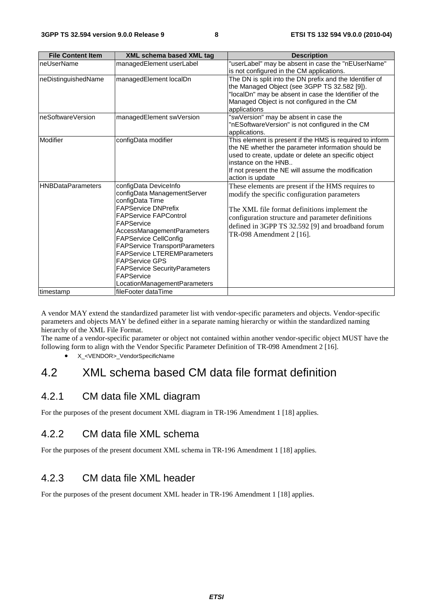| <b>File Content Item</b> | <b>XML schema based XML tag</b>                                                                                                                                                                                                                                                                                                                                                                                 | <b>Description</b>                                                                                                                                                                                                                                                                       |
|--------------------------|-----------------------------------------------------------------------------------------------------------------------------------------------------------------------------------------------------------------------------------------------------------------------------------------------------------------------------------------------------------------------------------------------------------------|------------------------------------------------------------------------------------------------------------------------------------------------------------------------------------------------------------------------------------------------------------------------------------------|
| neUserName               | managedElement userLabel                                                                                                                                                                                                                                                                                                                                                                                        | 'userLabel" may be absent in case the "nEUserName"<br>is not configured in the CM applications.                                                                                                                                                                                          |
| neDistinguishedName      | managedElement localDn                                                                                                                                                                                                                                                                                                                                                                                          | The DN is split into the DN prefix and the Identifier of<br>the Managed Object (see 3GPP TS 32.582 [9]).<br>"localDn" may be absent in case the Identifier of the<br>Managed Object is not configured in the CM<br>applications                                                          |
| neSoftwareVersion        | managedElement swVersion                                                                                                                                                                                                                                                                                                                                                                                        | "swVersion" may be absent in case the<br>"nESoftwareVersion" is not configured in the CM<br>applications.                                                                                                                                                                                |
| Modifier                 | configData modifier                                                                                                                                                                                                                                                                                                                                                                                             | This element is present if the HMS is required to inform<br>the NE whether the parameter information should be<br>used to create, update or delete an specific object<br>instance on the HNB<br>If not present the NE will assume the modification<br>action is update                   |
| <b>HNBDataParameters</b> | configData DeviceInfo<br>configData ManagementServer<br>configData Time<br><b>FAPService DNPrefix</b><br><b>FAPService FAPControl</b><br>FAPService<br>AccessManagementParameters<br><b>FAPService CellConfig</b><br><b>FAPService TransportParameters</b><br><b>FAPService LTEREMParameters</b><br><b>FAPService GPS</b><br><b>FAPService SecurityParameters</b><br>FAPService<br>LocationManagementParameters | These elements are present if the HMS requires to<br>modify the specific configuration parameters<br>The XML file format definitions implement the<br>configuration structure and parameter definitions<br>defined in 3GPP TS 32.592 [9] and broadband forum<br>TR-098 Amendment 2 [16]. |
| timestamp                | fileFooter dataTime                                                                                                                                                                                                                                                                                                                                                                                             |                                                                                                                                                                                                                                                                                          |

A vendor MAY extend the standardized parameter list with vendor-specific parameters and objects. Vendor-specific parameters and objects MAY be defined either in a separate naming hierarchy or within the standardized naming hierarchy of the XML File Format.

The name of a vendor-specific parameter or object not contained within another vendor-specific object MUST have the following form to align with the Vendor Specific Parameter Definition of TR-098 Amendment 2 [16].

• X <VENDOR> VendorSpecificName

### 4.2 XML schema based CM data file format definition

#### 4.2.1 CM data file XML diagram

For the purposes of the present document XML diagram in TR-196 Amendment 1 [18] applies.

#### 4.2.2 CM data file XML schema

For the purposes of the present document XML schema in TR-196 Amendment 1 [18] applies.

#### 4.2.3 CM data file XML header

For the purposes of the present document XML header in TR-196 Amendment 1 [18] applies.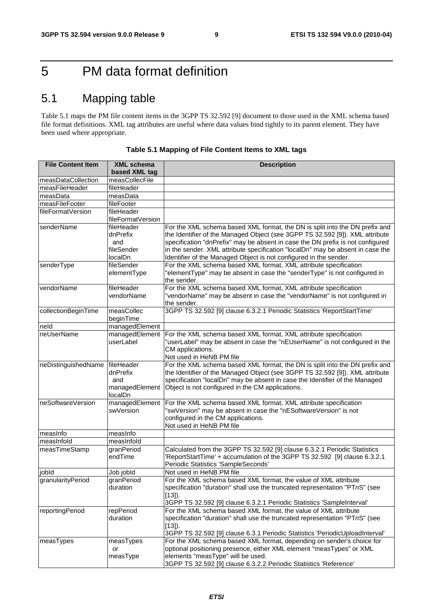# 5 PM data format definition

### 5.1 Mapping table

Table 5.1 maps the PM file content items in the 3GPP TS 32.592 [9] document to those used in the XML schema based file format definitions. XML tag attributes are useful where data values bind tightly to its parent element. They have been used where appropriate.

| <b>File Content Item</b> | <b>XML schema</b> | <b>Description</b>                                                             |
|--------------------------|-------------------|--------------------------------------------------------------------------------|
|                          | based XML tag     |                                                                                |
| measDataCollection       | measCollecFile    |                                                                                |
| measFileHeader           | fileHeader        |                                                                                |
| measData                 | measData          |                                                                                |
| measFileFooter           | fileFooter        |                                                                                |
| fileFormatVersion        | fileHeader        |                                                                                |
|                          | fileFormatVersion |                                                                                |
| senderName               | fileHeader        | For the XML schema based XML format, the DN is split into the DN prefix and    |
|                          | dnPrefix          | the Identifier of the Managed Object (see 3GPP TS 32.592 [9]). XML attribute   |
|                          | and               | specification "dnPrefix" may be absent in case the DN prefix is not configured |
|                          | fileSender        | in the sender. XML attribute specification "localDn" may be absent in case the |
|                          | localDn           | Identifier of the Managed Object is not configured in the sender.              |
| senderType               | fileSender        | For the XML schema based XML format, XML attribute specification               |
|                          | elementType       | "elementType" may be absent in case the "senderType" is not configured in      |
|                          |                   | the sender.                                                                    |
| vendorName               | fileHeader        | For the XML schema based XML format, XML attribute specification               |
|                          | vendorName        | "vendorName" may be absent in case the "vendorName" is not configured in       |
|                          |                   | the sender.                                                                    |
| collectionBeginTime      | measCollec        | 3GPP TS 32.592 [9] clause 6.3.2.1 Periodic Statistics 'ReportStartTime'        |
|                          | beginTime         |                                                                                |
| neld                     | managedElement    |                                                                                |
| neUserName               | managedElement    | For the XML schema based XML format, XML attribute specification               |
|                          | userLabel         | "userLabel" may be absent in case the "nEUserName" is not configured in the    |
|                          |                   | CM applications.                                                               |
|                          |                   | Not used in HeNB PM file                                                       |
| neDistinguishedName      | fileHeader        | For the XML schema based XML format, the DN is split into the DN prefix and    |
|                          | dnPrefix          | the Identifier of the Managed Object (see 3GPP TS 32.592 [9]). XML attribute   |
|                          | and               | specification "localDn" may be absent in case the Identifier of the Managed    |
|                          | managedElement    | Object is not configured in the CM applications.                               |
|                          | localDn           |                                                                                |
| neSoftwareVersion        | managedElement    | For the XML schema based XML format, XML attribute specification               |
|                          | swVersion         | 'swVersion" may be absent in case the "nESoftwareVersion" is not               |
|                          |                   | configured in the CM applications.<br>Not used in HeNB PM file                 |
| measinfo                 | measinfo          |                                                                                |
| measInfold               | measInfold        |                                                                                |
| measTimeStamp            | granPeriod        | Calculated from the 3GPP TS 32.592 [9] clause 6.3.2.1 Periodic Statistics      |
|                          | endTime           | ReportStartTime' + accumulation of the 3GPP TS 32.592 [9] clause 6.3.2.1       |
|                          |                   | Periodic Statistics 'SampleSeconds'                                            |
| jobld                    | Job jobld         | Not used in HeNB PM file                                                       |
| granularityPeriod        | granPeriod        | For the XML schema based XML format, the value of XML attribute                |
|                          | duration          | specification "duration" shall use the truncated representation "PTnS" (see    |
|                          |                   | $[13]$ ).                                                                      |
|                          |                   | 3GPP TS 32.592 [9] clause 6.3.2.1 Periodic Statistics 'SampleInterval'         |
| reportingPeriod          | repPeriod         | For the XML schema based XML format, the value of XML attribute                |
|                          | duration          | specification "duration" shall use the truncated representation "PTnS" (see    |
|                          |                   | $[13]$ .                                                                       |
|                          |                   | 3GPP TS 32.592 [9] clause 6.3.1 Periodic Statistics 'PeriodicUploadInterval'   |
| measTypes                | measTypes         | For the XML schema based XML format, depending on sender's choice for          |
|                          | or                | optional positioning presence, either XML element "measTypes" or XML           |
|                          | measType          | elements "measType" will be used.                                              |
|                          |                   | 3GPP TS 32.592 [9] clause 6.3.2.2 Periodic Statistics 'Reference'              |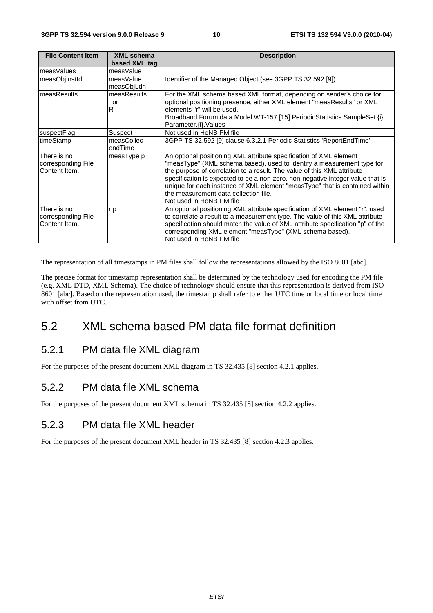| <b>File Content Item</b>                           | <b>XML schema</b>          | <b>Description</b>                                                                                                                                                                                                                                                                                                                                                                                                                                            |
|----------------------------------------------------|----------------------------|---------------------------------------------------------------------------------------------------------------------------------------------------------------------------------------------------------------------------------------------------------------------------------------------------------------------------------------------------------------------------------------------------------------------------------------------------------------|
| measValues                                         | based XML tag<br>measValue |                                                                                                                                                                                                                                                                                                                                                                                                                                                               |
| measObilnstld                                      | measValue                  | Identifier of the Managed Object (see 3GPP TS 32.592 [9])                                                                                                                                                                                                                                                                                                                                                                                                     |
|                                                    | measObjLdn                 |                                                                                                                                                                                                                                                                                                                                                                                                                                                               |
| measResults                                        | measResults<br>or<br>R     | For the XML schema based XML format, depending on sender's choice for<br>optional positioning presence, either XML element "measResults" or XML<br>elements "r" will be used.<br>Broadband Forum data Model WT-157 [15] PeriodicStatistics.SampleSet.{i}.<br>Parameter.{i}.Values                                                                                                                                                                             |
| suspectFlag                                        | Suspect                    | Not used in HeNB PM file                                                                                                                                                                                                                                                                                                                                                                                                                                      |
| timeStamp                                          | measCollec<br>endTime      | 3GPP TS 32.592 [9] clause 6.3.2.1 Periodic Statistics 'ReportEndTime'                                                                                                                                                                                                                                                                                                                                                                                         |
| There is no<br>corresponding File<br>Content Item. | measType p                 | An optional positioning XML attribute specification of XML element<br>"measType" (XML schema based), used to identify a measurement type for<br>the purpose of correlation to a result. The value of this XML attribute<br>specification is expected to be a non-zero, non-negative integer value that is<br>unique for each instance of XML element "measType" that is contained within<br>the measurement data collection file.<br>Not used in HeNB PM file |
| There is no<br>corresponding File<br>Content Item. | r p                        | An optional positioning XML attribute specification of XML element "r", used<br>to correlate a result to a measurement type. The value of this XML attribute<br>specification should match the value of XML attribute specification "p" of the<br>corresponding XML element "measType" (XML schema based).<br>Not used in HeNB PM file                                                                                                                        |

The representation of all timestamps in PM files shall follow the representations allowed by the ISO 8601 [abc].

The precise format for timestamp representation shall be determined by the technology used for encoding the PM file (e.g. XML DTD, XML Schema). The choice of technology should ensure that this representation is derived from ISO 8601 [abc]. Based on the representation used, the timestamp shall refer to either UTC time or local time or local time with offset from UTC.

#### 5.2 XML schema based PM data file format definition

#### 5.2.1 PM data file XML diagram

For the purposes of the present document XML diagram in TS 32.435 [8] section 4.2.1 applies.

#### 5.2.2 PM data file XML schema

For the purposes of the present document XML schema in TS 32.435 [8] section 4.2.2 applies.

#### 5.2.3 PM data file XML header

For the purposes of the present document XML header in TS 32.435 [8] section 4.2.3 applies.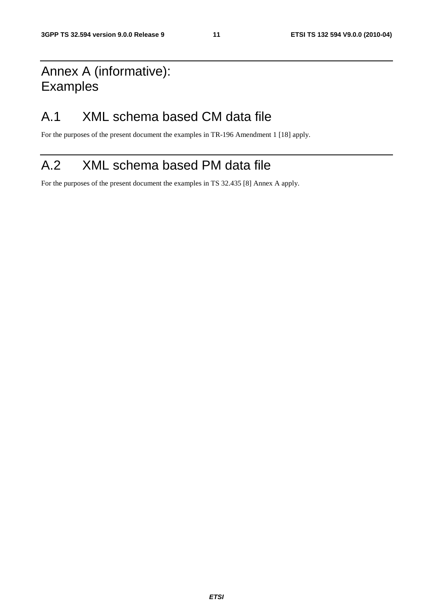# Annex A (informative): Examples

### A.1 XML schema based CM data file

For the purposes of the present document the examples in TR-196 Amendment 1 [18] apply.

# A.2 XML schema based PM data file

For the purposes of the present document the examples in TS 32.435 [8] Annex A apply.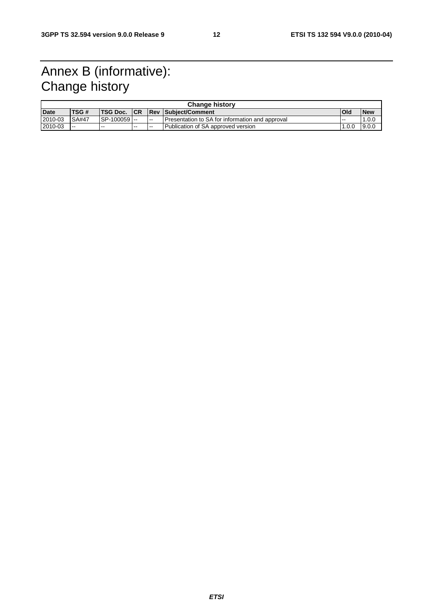# Annex B (informative): Change history

| <b>Change history</b> |             |                 |       |        |                                                 |       |            |
|-----------------------|-------------|-----------------|-------|--------|-------------------------------------------------|-------|------------|
| <b>Date</b>           | <b>TSG#</b> | <b>TSG Doc.</b> | ICR   |        | <b>Rev Subiect/Comment</b>                      | l Old | <b>New</b> |
| 2010-03               | SA#47       | ISP-100059 I--  |       | $\sim$ | Presentation to SA for information and approval | .     | .0.0       |
| 2010-03               | $- -$       | $- -$           | $- -$ | $- -$  | Publication of SA approved version              | .0.0  | 9.0.0      |